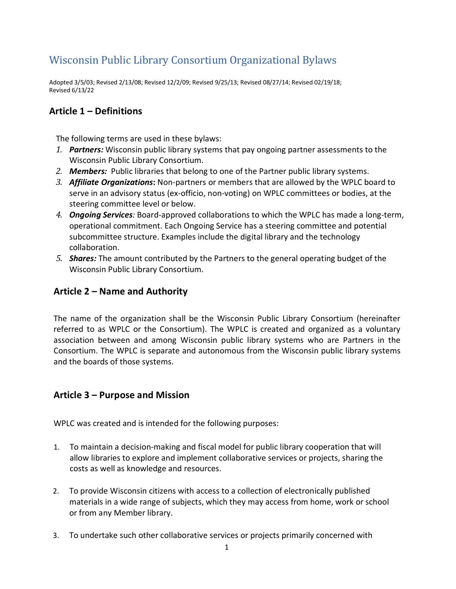# Wisconsin Public Library Consortium Organizational Bylaws

Adopted 3/5/03; Revised 2/13/08; Revised 12/2/09; Revised 9/25/13; Revised 08/27/14; Revised 02/19/18; Revised 6/13/22

# **Article 1 – Definitions**

The following terms are used in these bylaws:

- *1. Partners:* Wisconsin public library systems that pay ongoing partner assessments to the Wisconsin Public Library Consortium.
- *2. Members:* Public libraries that belong to one of the Partner public library systems.
- *3. Affiliate Organizations***:** Non-partners or members that are allowed by the WPLC board to serve in an advisory status (ex-officio, non-voting) on WPLC committees or bodies, at the steering committee level or below.
- *4. Ongoing Services:* Board-approved collaborations to which the WPLC has made a long-term, operational commitment. Each Ongoing Service has a steering committee and potential subcommittee structure. Examples include the digital library and the technology collaboration.
- *5. Shares:* The amount contributed by the Partners to the general operating budget of the Wisconsin Public Library Consortium.

# **Article 2 – Name and Authority**

The name of the organization shall be the Wisconsin Public Library Consortium (hereinafter referred to as WPLC or the Consortium). The WPLC is created and organized as a voluntary association between and among Wisconsin public library systems who are Partners in the Consortium. The WPLC is separate and autonomous from the Wisconsin public library systems and the boards of those systems.

### **Article 3 – Purpose and Mission**

WPLC was created and is intended for the following purposes:

- 1. To maintain a decision-making and fiscal model for public library cooperation that will allow libraries to explore and implement collaborative services or projects, sharing the costs as well as knowledge and resources.
- 2. To provide Wisconsin citizens with access to a collection of electronically published materials in a wide range of subjects, which they may access from home, work or school or from any Member library.
- 3. To undertake such other collaborative services or projects primarily concerned with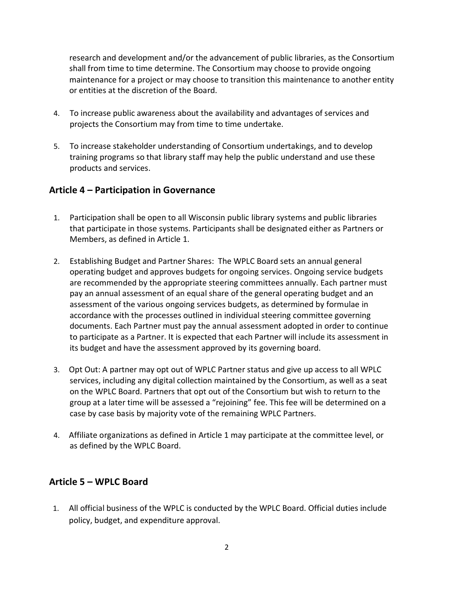research and development and/or the advancement of public libraries, as the Consortium shall from time to time determine. The Consortium may choose to provide ongoing maintenance for a project or may choose to transition this maintenance to another entity or entities at the discretion of the Board.

- 4. To increase public awareness about the availability and advantages of services and projects the Consortium may from time to time undertake.
- 5. To increase stakeholder understanding of Consortium undertakings, and to develop training programs so that library staff may help the public understand and use these products and services.

### **Article 4 – Participation in Governance**

- 1. Participation shall be open to all Wisconsin public library systems and public libraries that participate in those systems. Participants shall be designated either as Partners or Members, as defined in Article 1.
- 2. Establishing Budget and Partner Shares: The WPLC Board sets an annual general operating budget and approves budgets for ongoing services. Ongoing service budgets are recommended by the appropriate steering committees annually. Each partner must pay an annual assessment of an equal share of the general operating budget and an assessment of the various ongoing services budgets, as determined by formulae in accordance with the processes outlined in individual steering committee governing documents. Each Partner must pay the annual assessment adopted in order to continue to participate as a Partner. It is expected that each Partner will include its assessment in its budget and have the assessment approved by its governing board.
- 3. Opt Out: A partner may opt out of WPLC Partner status and give up access to all WPLC services, including any digital collection maintained by the Consortium, as well as a seat on the WPLC Board. Partners that opt out of the Consortium but wish to return to the group at a later time will be assessed a "rejoining" fee. This fee will be determined on a case by case basis by majority vote of the remaining WPLC Partners.
- 4. Affiliate organizations as defined in Article 1 may participate at the committee level, or as defined by the WPLC Board.

# **Article 5 – WPLC Board**

1. All official business of the WPLC is conducted by the WPLC Board. Official duties include policy, budget, and expenditure approval.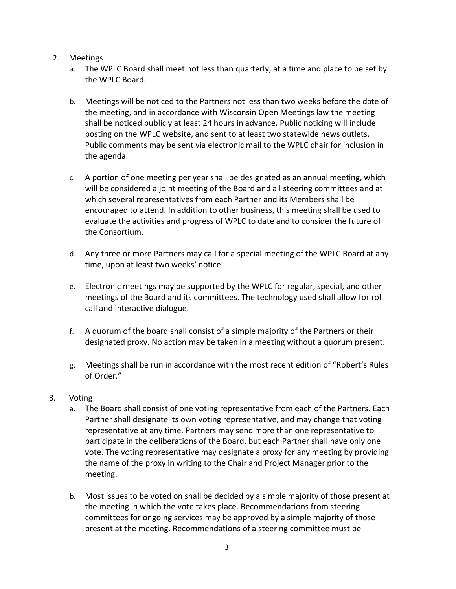#### 2. Meetings

- a. The WPLC Board shall meet not less than quarterly, at a time and place to be set by the WPLC Board.
- b. Meetings will be noticed to the Partners not less than two weeks before the date of the meeting, and in accordance with [Wisconsin Open Meetings law](https://www.doj.state.wi.us/sites/default/files/office-open-government/Resources/OML-GUIDE.pdf) the meeting shall be noticed publicly at least 24 hours in advance. Public noticing will include posting on the WPLC website, and sent to at least two statewide news outlets. Public comments may be sent via electronic mail to the WPLC chair for inclusion in the agenda.
- c. A portion of one meeting per year shall be designated as an annual meeting, which will be considered a joint meeting of the Board and all steering committees and at which several representatives from each Partner and its Members shall be encouraged to attend. In addition to other business, this meeting shall be used to evaluate the activities and progress of WPLC to date and to consider the future of the Consortium.
- d. Any three or more Partners may call for a special meeting of the WPLC Board at any time, upon at least two weeks' notice.
- e. Electronic meetings may be supported by the WPLC for regular, special, and other meetings of the Board and its committees. The technology used shall allow for roll call and interactive dialogue.
- f. A quorum of the board shall consist of a simple majority of the Partners or their designated proxy. No action may be taken in a meeting without a quorum present.
- g. Meetings shall be run in accordance with the most recent edition of "Robert's Rules of Order."

### 3. Voting

- a. The Board shall consist of one voting representative from each of the Partners. Each Partner shall designate its own voting representative, and may change that voting representative at any time. Partners may send more than one representative to participate in the deliberations of the Board, but each Partner shall have only one vote. The voting representative may designate a proxy for any meeting by providing the name of the proxy in writing to the Chair and Project Manager prior to the meeting.
- b. Most issues to be voted on shall be decided by a simple majority of those present at the meeting in which the vote takes place. Recommendations from steering committees for ongoing services may be approved by a simple majority of those present at the meeting. Recommendations of a steering committee must be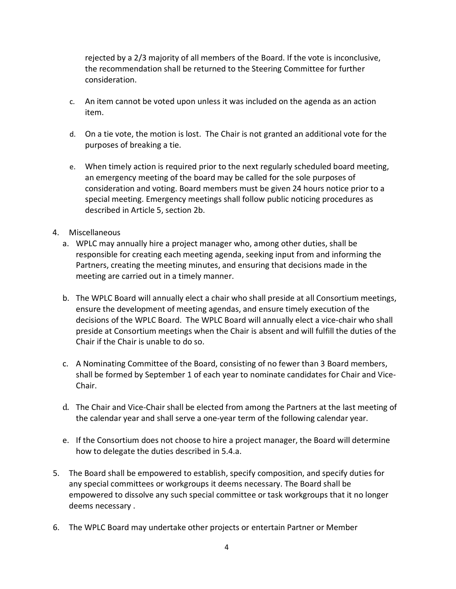rejected by a 2/3 majority of all members of the Board. If the vote is inconclusive, the recommendation shall be returned to the Steering Committee for further consideration.

- c. An item cannot be voted upon unless it was included on the agenda as an action item.
- d. On a tie vote, the motion is lost. The Chair is not granted an additional vote for the purposes of breaking a tie.
- e. When timely action is required prior to the next regularly scheduled board meeting, an emergency meeting of the board may be called for the sole purposes of consideration and voting. Board members must be given 24 hours notice prior to a special meeting. Emergency meetings shall follow public noticing procedures as described in Article 5, section 2b.
- 4. Miscellaneous
	- a. WPLC may annually hire a project manager who, among other duties, shall be responsible for creating each meeting agenda, seeking input from and informing the Partners, creating the meeting minutes, and ensuring that decisions made in the meeting are carried out in a timely manner.
	- b. The WPLC Board will annually elect a chair who shall preside at all Consortium meetings, ensure the development of meeting agendas, and ensure timely execution of the decisions of the WPLC Board. The WPLC Board will annually elect a vice-chair who shall preside at Consortium meetings when the Chair is absent and will fulfill the duties of the Chair if the Chair is unable to do so.
	- c. A Nominating Committee of the Board, consisting of no fewer than 3 Board members, shall be formed by September 1 of each year to nominate candidates for Chair and Vice-Chair.
	- d. The Chair and Vice-Chair shall be elected from among the Partners at the last meeting of the calendar year and shall serve a one-year term of the following calendar year.
	- e. If the Consortium does not choose to hire a project manager, the Board will determine how to delegate the duties described in 5.4.a.
- 5. The Board shall be empowered to establish, specify composition, and specify duties for any special committees or workgroups it deems necessary. The Board shall be empowered to dissolve any such special committee or task workgroups that it no longer deems necessary .
- 6. The WPLC Board may undertake other projects or entertain Partner or Member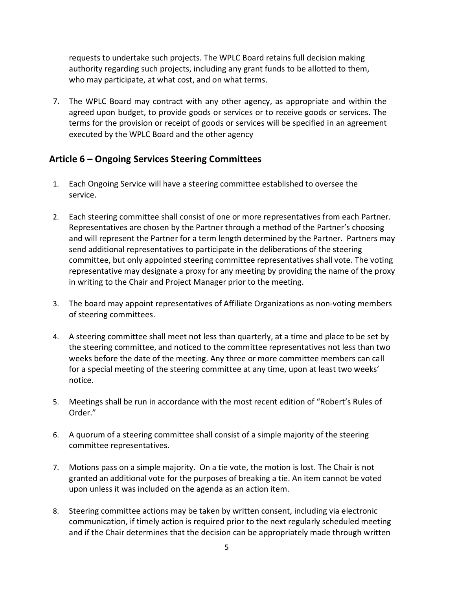requests to undertake such projects. The WPLC Board retains full decision making authority regarding such projects, including any grant funds to be allotted to them, who may participate, at what cost, and on what terms.

7. The WPLC Board may contract with any other agency, as appropriate and within the agreed upon budget, to provide goods or services or to receive goods or services. The terms for the provision or receipt of goods or services will be specified in an agreement executed by the WPLC Board and the other agency

## **Article 6 – Ongoing Services Steering Committees**

- 1. Each Ongoing Service will have a steering committee established to oversee the service.
- 2. Each steering committee shall consist of one or more representatives from each Partner. Representatives are chosen by the Partner through a method of the Partner's choosing and will represent the Partner for a term length determined by the Partner. Partners may send additional representatives to participate in the deliberations of the steering committee, but only appointed steering committee representatives shall vote. The voting representative may designate a proxy for any meeting by providing the name of the proxy in writing to the Chair and Project Manager prior to the meeting.
- 3. The board may appoint representatives of Affiliate Organizations as non-voting members of steering committees.
- 4. A steering committee shall meet not less than quarterly, at a time and place to be set by the steering committee, and noticed to the committee representatives not less than two weeks before the date of the meeting. Any three or more committee members can call for a special meeting of the steering committee at any time, upon at least two weeks' notice.
- 5. Meetings shall be run in accordance with the most recent edition of "Robert's Rules of Order."
- 6. A quorum of a steering committee shall consist of a simple majority of the steering committee representatives.
- 7. Motions pass on a simple majority. On a tie vote, the motion is lost. The Chair is not granted an additional vote for the purposes of breaking a tie. An item cannot be voted upon unless it was included on the agenda as an action item.
- 8. Steering committee actions may be taken by written consent, including via electronic communication, if timely action is required prior to the next regularly scheduled meeting and if the Chair determines that the decision can be appropriately made through written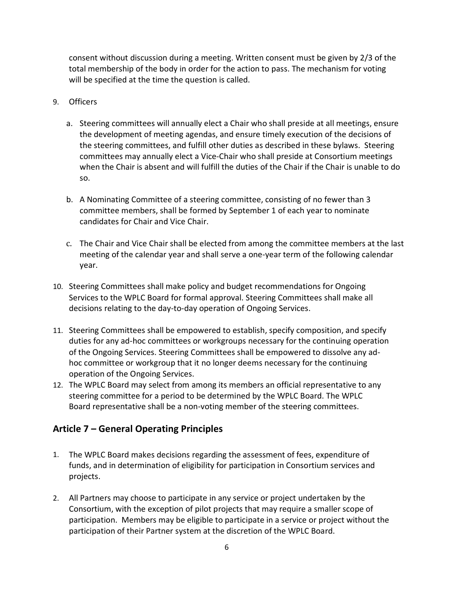consent without discussion during a meeting. Written consent must be given by 2/3 of the total membership of the body in order for the action to pass. The mechanism for voting will be specified at the time the question is called.

- 9. Officers
	- a. Steering committees will annually elect a Chair who shall preside at all meetings, ensure the development of meeting agendas, and ensure timely execution of the decisions of the steering committees, and fulfill other duties as described in these bylaws. Steering committees may annually elect a Vice-Chair who shall preside at Consortium meetings when the Chair is absent and will fulfill the duties of the Chair if the Chair is unable to do so.
	- b. A Nominating Committee of a steering committee, consisting of no fewer than 3 committee members, shall be formed by September 1 of each year to nominate candidates for Chair and Vice Chair.
	- c. The Chair and Vice Chair shall be elected from among the committee members at the last meeting of the calendar year and shall serve a one-year term of the following calendar year.
- 10. Steering Committees shall make policy and budget recommendations for Ongoing Services to the WPLC Board for formal approval. Steering Committees shall make all decisions relating to the day-to-day operation of Ongoing Services.
- 11. Steering Committees shall be empowered to establish, specify composition, and specify duties for any ad-hoc committees or workgroups necessary for the continuing operation of the Ongoing Services. Steering Committees shall be empowered to dissolve any adhoc committee or workgroup that it no longer deems necessary for the continuing operation of the Ongoing Services.
- 12. The WPLC Board may select from among its members an official representative to any steering committee for a period to be determined by the WPLC Board. The WPLC Board representative shall be a non-voting member of the steering committees.

# **Article 7 – General Operating Principles**

- 1. The WPLC Board makes decisions regarding the assessment of fees, expenditure of funds, and in determination of eligibility for participation in Consortium services and projects.
- 2. All Partners may choose to participate in any service or project undertaken by the Consortium, with the exception of pilot projects that may require a smaller scope of participation. Members may be eligible to participate in a service or project without the participation of their Partner system at the discretion of the WPLC Board.